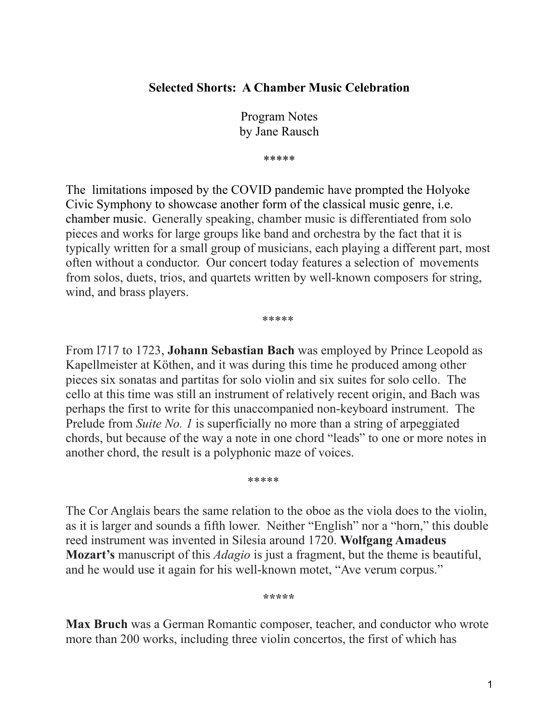## **Selected Shorts: A Chamber Music Celebration**

Program Notes by Jane Rausch

\*\*\*\*\*

The limitations imposed by the COVID pandemic have prompted the Holyoke Civic Symphony to showcase another form of the classical music genre, i.e. chamber music. Generally speaking, chamber music is differentiated from solo pieces and works for large groups like band and orchestra by the fact that it is typically written for a small group of musicians, each playing a different part, most often without a conductor. Our concert today features a selection of movements from solos, duets, trios, and quartets written by well-known composers for string, wind, and brass players.

\*\*\*\*\*

From l717 to 1723, **Johann Sebastian Bach** was employed by Prince Leopold as Kapellmeister at Köthen, and it was during this time he produced among other pieces six sonatas and partitas for solo violin and six suites for solo cello. The cello at this time was still an instrument of relatively recent origin, and Bach was perhaps the first to write for this unaccompanied non-keyboard instrument. The Prelude from *Suite No. 1* is superficially no more than a string of arpeggiated chords, but because of the way a note in one chord "leads" to one or more notes in another chord, the result is a polyphonic maze of voices.

\*\*\*\*\*

The Cor Anglais bears the same relation to the oboe as the viola does to the violin, as it is larger and sounds a fifth lower. Neither "English" nor a "horn," this double reed instrument was invented in Silesia around 1720. **Wolfgang Amadeus Mozart's** manuscript of this *Adagio* is just a fragment, but the theme is beautiful, and he would use it again for his well-known motet, "Ave verum corpus."

**\*\*\*\*\*** 

**Max Bruch** was a German Romantic composer, teacher, and conductor who wrote more than 200 works, including three violin concertos, the first of which has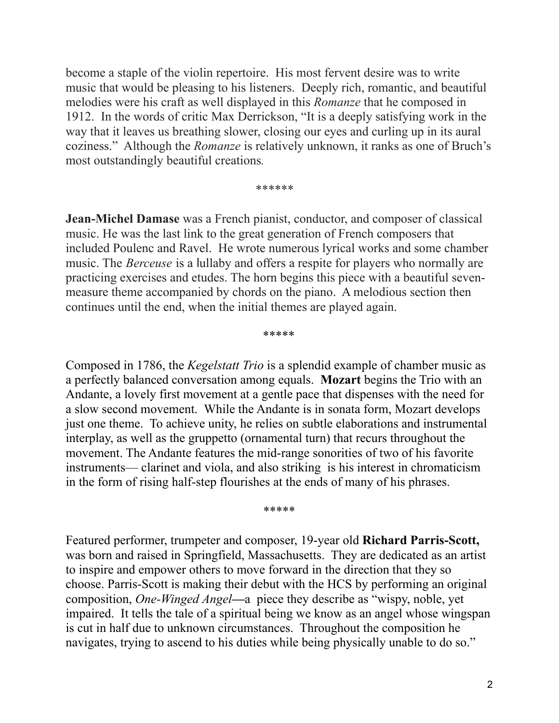become a staple of the violin repertoire. His most fervent desire was to write music that would be pleasing to his listeners. Deeply rich, romantic, and beautiful melodies were his craft as well displayed in this *Romanze* that he composed in 1912.In the words of critic Max Derrickson, "It is a deeply satisfying work in the way that it leaves us breathing slower, closing our eyes and curling up in its aural coziness." Although the *Romanze* is relatively unknown, it ranks as one of Bruch's most outstandingly beautiful creations*.* 

\*\*\*\*\*\*

**Jean-Michel Damase** was a French pianist, conductor, and composer of classical music. He was the last link to the great generation of French composers that included Poulenc and Ravel. He wrote numerous lyrical works and some chamber music. The *Berceuse* is a lullaby and offers a respite for players who normally are practicing exercises and etudes. The horn begins this piece with a beautiful sevenmeasure theme accompanied by chords on the piano. A melodious section then continues until the end, when the initial themes are played again.

\*\*\*\*\*

Composed in 1786, the *Kegelstatt Trio* is a splendid example of chamber music as a perfectly balanced conversation among equals. **Mozart** begins the Trio with an Andante, a lovely first movement at a gentle pace that dispenses with the need for a slow second movement. While the Andante is in sonata form, Mozart develops just one theme. To achieve unity, he relies on subtle elaborations and instrumental interplay, as well as the gruppetto (ornamental turn) that recurs throughout the movement. The Andante features the mid-range sonorities of two of his favorite instruments— clarinet and viola, and also striking is his interest in chromaticism in the form of rising half-step flourishes at the ends of many of his phrases.

\*\*\*\*\*

Featured performer, trumpeter and composer, 19-year old **Richard Parris-Scott,**  was born and raised in Springfield, Massachusetts. They are dedicated as an artist to inspire and empower others to move forward in the direction that they so choose. Parris-Scott is making their debut with the HCS by performing an original composition, *One-Winged Angel***—**a piece they describe as "wispy, noble, yet impaired. It tells the tale of a spiritual being we know as an angel whose wingspan is cut in half due to unknown circumstances. Throughout the composition he navigates, trying to ascend to his duties while being physically unable to do so."